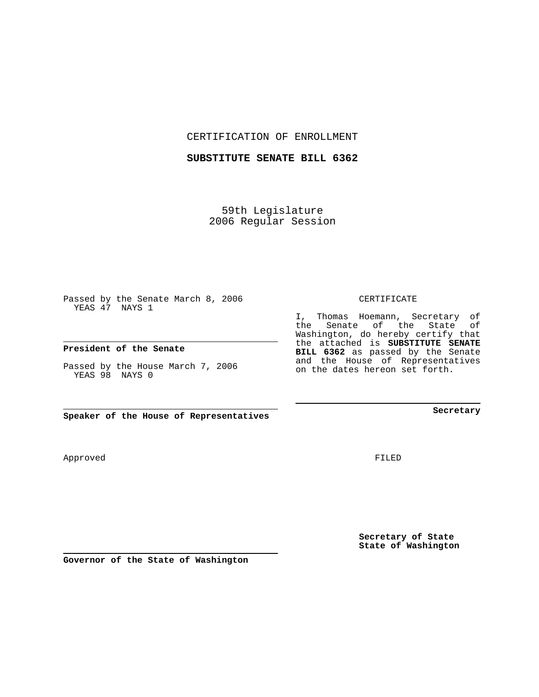CERTIFICATION OF ENROLLMENT

## **SUBSTITUTE SENATE BILL 6362**

59th Legislature 2006 Regular Session

Passed by the Senate March 8, 2006 YEAS 47 NAYS 1

## **President of the Senate**

Passed by the House March 7, 2006 YEAS 98 NAYS 0

**Speaker of the House of Representatives**

**Governor of the State of Washington**

Approved

FILED

**Secretary of State State of Washington**

#### CERTIFICATE

I, Thomas Hoemann, Secretary of the Senate of the State of Washington, do hereby certify that the attached is **SUBSTITUTE SENATE BILL 6362** as passed by the Senate and the House of Representatives on the dates hereon set forth.

**Secretary**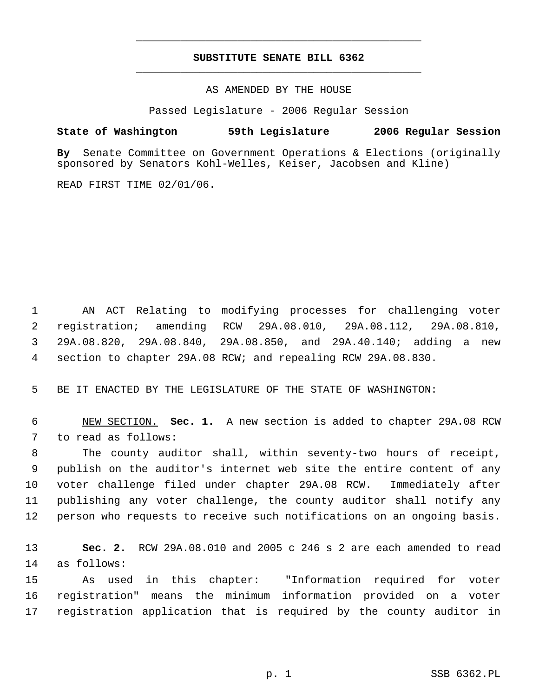# **SUBSTITUTE SENATE BILL 6362** \_\_\_\_\_\_\_\_\_\_\_\_\_\_\_\_\_\_\_\_\_\_\_\_\_\_\_\_\_\_\_\_\_\_\_\_\_\_\_\_\_\_\_\_\_

\_\_\_\_\_\_\_\_\_\_\_\_\_\_\_\_\_\_\_\_\_\_\_\_\_\_\_\_\_\_\_\_\_\_\_\_\_\_\_\_\_\_\_\_\_

AS AMENDED BY THE HOUSE

Passed Legislature - 2006 Regular Session

## **State of Washington 59th Legislature 2006 Regular Session**

**By** Senate Committee on Government Operations & Elections (originally sponsored by Senators Kohl-Welles, Keiser, Jacobsen and Kline)

READ FIRST TIME 02/01/06.

 AN ACT Relating to modifying processes for challenging voter registration; amending RCW 29A.08.010, 29A.08.112, 29A.08.810, 29A.08.820, 29A.08.840, 29A.08.850, and 29A.40.140; adding a new section to chapter 29A.08 RCW; and repealing RCW 29A.08.830.

BE IT ENACTED BY THE LEGISLATURE OF THE STATE OF WASHINGTON:

 NEW SECTION. **Sec. 1.** A new section is added to chapter 29A.08 RCW to read as follows:

 The county auditor shall, within seventy-two hours of receipt, publish on the auditor's internet web site the entire content of any voter challenge filed under chapter 29A.08 RCW. Immediately after publishing any voter challenge, the county auditor shall notify any person who requests to receive such notifications on an ongoing basis.

 **Sec. 2.** RCW 29A.08.010 and 2005 c 246 s 2 are each amended to read as follows:

 As used in this chapter: "Information required for voter registration" means the minimum information provided on a voter registration application that is required by the county auditor in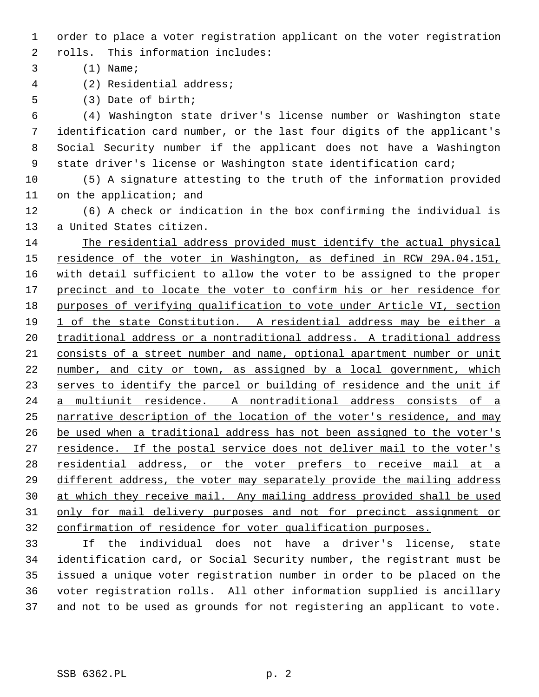order to place a voter registration applicant on the voter registration rolls. This information includes:

(1) Name;

(2) Residential address;

(3) Date of birth;

 (4) Washington state driver's license number or Washington state identification card number, or the last four digits of the applicant's Social Security number if the applicant does not have a Washington 9 state driver's license or Washington state identification card;

 (5) A signature attesting to the truth of the information provided on the application; and

 (6) A check or indication in the box confirming the individual is a United States citizen.

 The residential address provided must identify the actual physical 15 residence of the voter in Washington, as defined in RCW 29A.04.151, 16 with detail sufficient to allow the voter to be assigned to the proper 17 precinct and to locate the voter to confirm his or her residence for purposes of verifying qualification to vote under Article VI, section 1 of the state Constitution. A residential address may be either a 20 traditional address or a nontraditional address. A traditional address consists of a street number and name, optional apartment number or unit 22 number, and city or town, as assigned by a local government, which 23 serves to identify the parcel or building of residence and the unit if a multiunit residence. A nontraditional address consists of a narrative description of the location of the voter's residence, and may 26 be used when a traditional address has not been assigned to the voter's 27 residence. If the postal service does not deliver mail to the voter's 28 residential address, or the voter prefers to receive mail at a 29 different address, the voter may separately provide the mailing address at which they receive mail. Any mailing address provided shall be used only for mail delivery purposes and not for precinct assignment or confirmation of residence for voter qualification purposes.

 If the individual does not have a driver's license, state identification card, or Social Security number, the registrant must be issued a unique voter registration number in order to be placed on the voter registration rolls. All other information supplied is ancillary and not to be used as grounds for not registering an applicant to vote.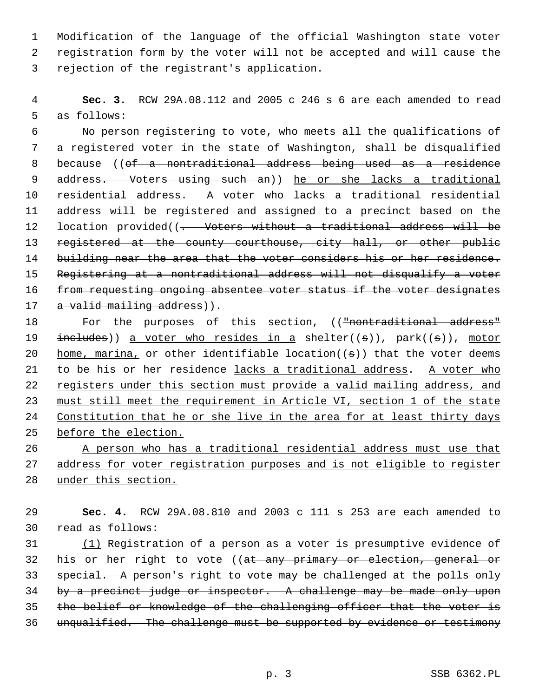1 Modification of the language of the official Washington state voter 2 registration form by the voter will not be accepted and will cause the 3 rejection of the registrant's application.

 4 **Sec. 3.** RCW 29A.08.112 and 2005 c 246 s 6 are each amended to read 5 as follows:

 6 No person registering to vote, who meets all the qualifications of 7 a registered voter in the state of Washington, shall be disqualified 8 because ((of a nontraditional address being used as a residence 9 address. Voters using such an)) he or she lacks a traditional 10 residential address. A voter who lacks a traditional residential 11 address will be registered and assigned to a precinct based on the 12 location provided((- Voters without a traditional address will be 13 registered at the county courthouse, city hall, or other public 14 building near the area that the voter considers his or her residence. 15 Registering at a nontraditional address will not disqualify a voter 16 from requesting ongoing absentee voter status if the voter designates 17 a valid mailing address)).

18 For the purposes of this section, (("nontraditional address" 19  $includes()$  a voter who resides in a shelter((s)), park((s)), motor 20 home, marina, or other identifiable location( $(s)$ ) that the voter deems 21 to be his or her residence lacks a traditional address. A voter who 22 registers under this section must provide a valid mailing address, and 23 must still meet the requirement in Article VI, section 1 of the state 24 Constitution that he or she live in the area for at least thirty days 25 before the election.

26 A person who has a traditional residential address must use that 27 address for voter registration purposes and is not eligible to register 28 under this section.

29 **Sec. 4.** RCW 29A.08.810 and 2003 c 111 s 253 are each amended to 30 read as follows:

 (1) Registration of a person as a voter is presumptive evidence of 32 his or her right to vote ((at any primary or election, general or special. A person's right to vote may be challenged at the polls only by a precinct judge or inspector. A challenge may be made only upon the belief or knowledge of the challenging officer that the voter is 36 unqualified. The challenge must be supported by evidence or testimony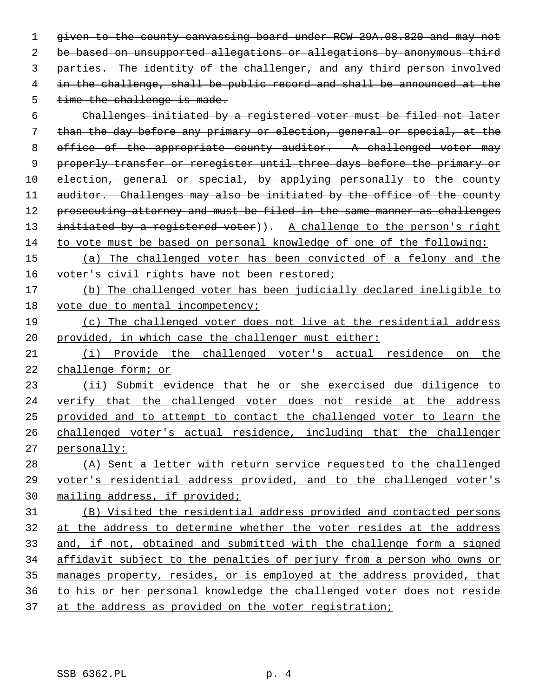given to the county canvassing board under RCW 29A.08.820 and may not be based on unsupported allegations or allegations by anonymous third parties. The identity of the challenger, and any third person involved in the challenge, shall be public record and shall be announced at the 5 time the challenge is made.

 Challenges initiated by a registered voter must be filed not later than the day before any primary or election, general or special, at the 8 office of the appropriate county auditor. A challenged voter may properly transfer or reregister until three days before the primary or election, general or special, by applying personally to the county 11 auditor. Challenges may also be initiated by the office of the county 12 prosecuting attorney and must be filed in the same manner as challenges 13 initiated by a registered voter)). A challenge to the person's right to vote must be based on personal knowledge of one of the following:

 (a) The challenged voter has been convicted of a felony and the 16 voter's civil rights have not been restored;

 (b) The challenged voter has been judicially declared ineligible to 18 vote due to mental incompetency;

 (c) The challenged voter does not live at the residential address provided, in which case the challenger must either:

 (i) Provide the challenged voter's actual residence on the challenge form; or

 (ii) Submit evidence that he or she exercised due diligence to verify that the challenged voter does not reside at the address provided and to attempt to contact the challenged voter to learn the challenged voter's actual residence, including that the challenger personally:

 (A) Sent a letter with return service requested to the challenged voter's residential address provided, and to the challenged voter's mailing address, if provided;

 (B) Visited the residential address provided and contacted persons at the address to determine whether the voter resides at the address and, if not, obtained and submitted with the challenge form a signed affidavit subject to the penalties of perjury from a person who owns or manages property, resides, or is employed at the address provided, that to his or her personal knowledge the challenged voter does not reside 37 at the address as provided on the voter registration;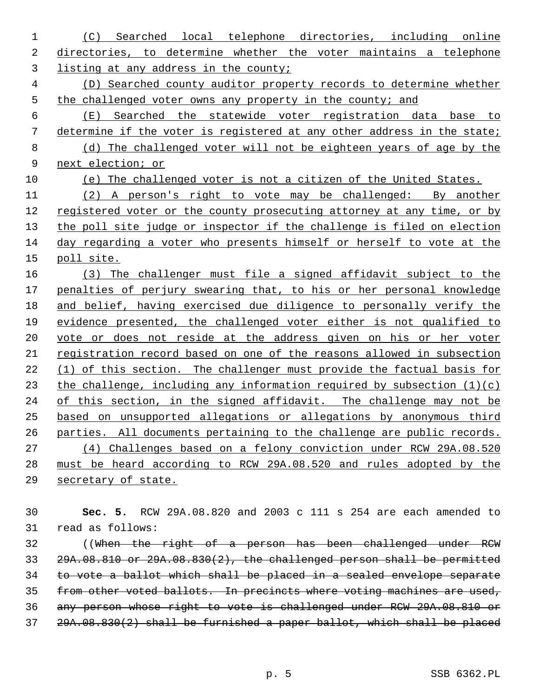(C) Searched local telephone directories, including online directories, to determine whether the voter maintains a telephone listing at any address in the county; (D) Searched county auditor property records to determine whether 5 the challenged voter owns any property in the county; and (E) Searched the statewide voter registration data base to determine if the voter is registered at any other address in the state; (d) The challenged voter will not be eighteen years of age by the next election; or (e) The challenged voter is not a citizen of the United States.

 (2) A person's right to vote may be challenged: By another 12 registered voter or the county prosecuting attorney at any time, or by 13 the poll site judge or inspector if the challenge is filed on election day regarding a voter who presents himself or herself to vote at the poll site.

 (3) The challenger must file a signed affidavit subject to the penalties of perjury swearing that, to his or her personal knowledge and belief, having exercised due diligence to personally verify the evidence presented, the challenged voter either is not qualified to vote or does not reside at the address given on his or her voter registration record based on one of the reasons allowed in subsection (1) of this section. The challenger must provide the factual basis for 23 the challenge, including any information required by subsection  $(1)(c)$ 24 of this section, in the signed affidavit. The challenge may not be based on unsupported allegations or allegations by anonymous third parties. All documents pertaining to the challenge are public records. (4) Challenges based on a felony conviction under RCW 29A.08.520 must be heard according to RCW 29A.08.520 and rules adopted by the 29 secretary of state.

 **Sec. 5.** RCW 29A.08.820 and 2003 c 111 s 254 are each amended to read as follows:

 ((When the right of a person has been challenged under RCW 29A.08.810 or 29A.08.830(2), the challenged person shall be permitted to vote a ballot which shall be placed in a sealed envelope separate from other voted ballots. In precincts where voting machines are used, any person whose right to vote is challenged under RCW 29A.08.810 or 29A.08.830(2) shall be furnished a paper ballot, which shall be placed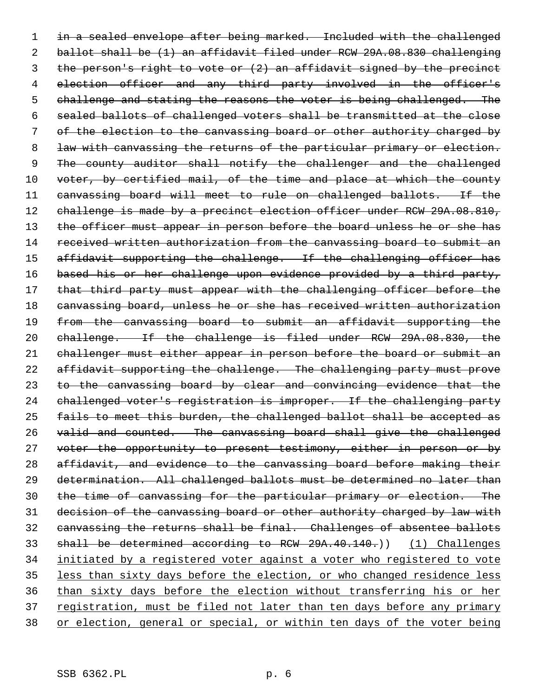in a sealed envelope after being marked. Included with the challenged ballot shall be (1) an affidavit filed under RCW 29A.08.830 challenging the person's right to vote or (2) an affidavit signed by the precinct 4 election officer and any third party involved in the officer's 5 challenge and stating the reasons the voter is being challenged. The sealed ballots of challenged voters shall be transmitted at the close of the election to the canvassing board or other authority charged by 8 law with canvassing the returns of the particular primary or election. 9 The county auditor shall notify the challenger and the challenged 10 voter, by certified mail, of the time and place at which the county canvassing board will meet to rule on challenged ballots. If the 12 challenge is made by a precinct election officer under RCW 29A.08.810, 13 the officer must appear in person before the board unless he or she has received written authorization from the canvassing board to submit an 15 affidavit supporting the challenge. If the challenging officer has 16 based his or her challenge upon evidence provided by a third party, 17 that third party must appear with the challenging officer before the 18 canvassing board, unless he or she has received written authorization from the canvassing board to submit an affidavit supporting the challenge. If the challenge is filed under RCW 29A.08.830, the challenger must either appear in person before the board or submit an 22 affidavit supporting the challenge. The challenging party must prove 23 to the canvassing board by clear and convincing evidence that the challenged voter's registration is improper. If the challenging party fails to meet this burden, the challenged ballot shall be accepted as valid and counted. The canvassing board shall give the challenged voter the opportunity to present testimony, either in person or by affidavit, and evidence to the canvassing board before making their determination. All challenged ballots must be determined no later than the time of canvassing for the particular primary or election. The 31 decision of the canvassing board or other authority charged by law with canvassing the returns shall be final. Challenges of absentee ballots shall be determined according to RCW 29A.40.140.)) (1) Challenges initiated by a registered voter against a voter who registered to vote less than sixty days before the election, or who changed residence less than sixty days before the election without transferring his or her 37 registration, must be filed not later than ten days before any primary or election, general or special, or within ten days of the voter being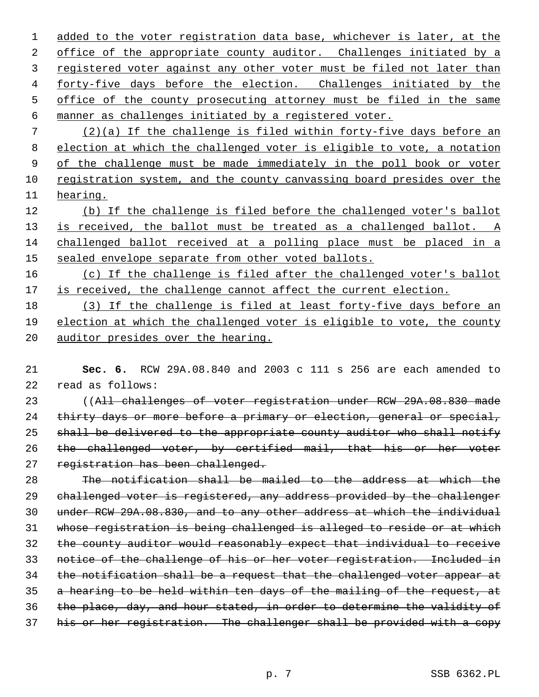1 added to the voter registration data base, whichever is later, at the 2 office of the appropriate county auditor. Challenges initiated by a 3 registered voter against any other voter must be filed not later than forty-five days before the election. Challenges initiated by the office of the county prosecuting attorney must be filed in the same manner as challenges initiated by a registered voter.

 (2)(a) If the challenge is filed within forty-five days before an election at which the challenged voter is eligible to vote, a notation 9 of the challenge must be made immediately in the poll book or voter registration system, and the county canvassing board presides over the hearing.

 (b) If the challenge is filed before the challenged voter's ballot 13 is received, the ballot must be treated as a challenged ballot. A challenged ballot received at a polling place must be placed in a 15 sealed envelope separate from other voted ballots.

 (c) If the challenge is filed after the challenged voter's ballot 17 is received, the challenge cannot affect the current election.

18 (3) If the challenge is filed at least forty-five days before an election at which the challenged voter is eligible to vote, the county 20 auditor presides over the hearing.

 **Sec. 6.** RCW 29A.08.840 and 2003 c 111 s 256 are each amended to read as follows:

 ((All challenges of voter registration under RCW 29A.08.830 made 24 thirty days or more before a primary or election, general or special, shall be delivered to the appropriate county auditor who shall notify the challenged voter, by certified mail, that his or her voter 27 registration has been challenged.

 The notification shall be mailed to the address at which the challenged voter is registered, any address provided by the challenger under RCW 29A.08.830, and to any other address at which the individual whose registration is being challenged is alleged to reside or at which the county auditor would reasonably expect that individual to receive notice of the challenge of his or her voter registration. Included in 34 the notification shall be a request that the challenged voter appear at a hearing to be held within ten days of the mailing of the request, at the place, day, and hour stated, in order to determine the validity of his or her registration. The challenger shall be provided with a copy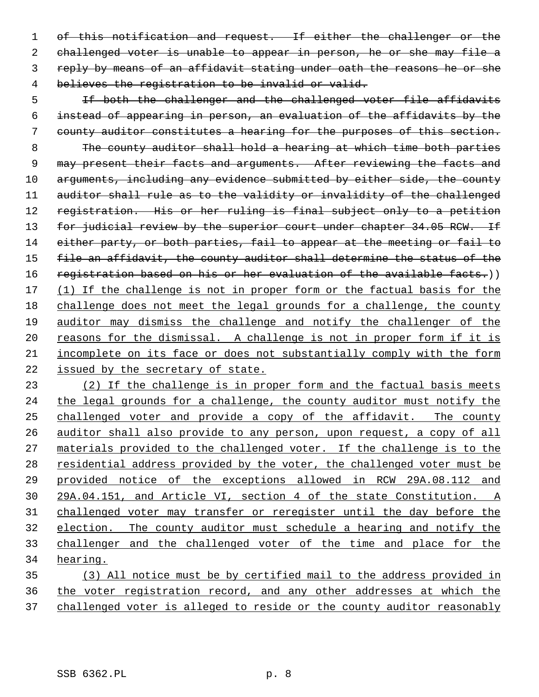of this notification and request. If either the challenger or the challenged voter is unable to appear in person, he or she may file a reply by means of an affidavit stating under oath the reasons he or she believes the registration to be invalid or valid.

5 11 If both the challenger and the challenged voter file affidavits instead of appearing in person, an evaluation of the affidavits by the county auditor constitutes a hearing for the purposes of this section. The county auditor shall hold a hearing at which time both parties 9 may present their facts and arguments. After reviewing the facts and 10 arguments, including any evidence submitted by either side, the county auditor shall rule as to the validity or invalidity of the challenged 12 registration. His or her ruling is final subject only to a petition 13 for judicial review by the superior court under chapter 34.05 RCW. If 14 either party, or both parties, fail to appear at the meeting or fail to file an affidavit, the county auditor shall determine the status of the 16 registration based on his or her evaluation of the available facts.)) 17 (1) If the challenge is not in proper form or the factual basis for the challenge does not meet the legal grounds for a challenge, the county auditor may dismiss the challenge and notify the challenger of the 20 reasons for the dismissal. A challenge is not in proper form if it is incomplete on its face or does not substantially comply with the form issued by the secretary of state.

23 (2) If the challenge is in proper form and the factual basis meets 24 the legal grounds for a challenge, the county auditor must notify the challenged voter and provide a copy of the affidavit. The county auditor shall also provide to any person, upon request, a copy of all materials provided to the challenged voter. If the challenge is to the 28 residential address provided by the voter, the challenged voter must be provided notice of the exceptions allowed in RCW 29A.08.112 and 29A.04.151, and Article VI, section 4 of the state Constitution. A challenged voter may transfer or reregister until the day before the election. The county auditor must schedule a hearing and notify the challenger and the challenged voter of the time and place for the hearing.

 (3) All notice must be by certified mail to the address provided in the voter registration record, and any other addresses at which the challenged voter is alleged to reside or the county auditor reasonably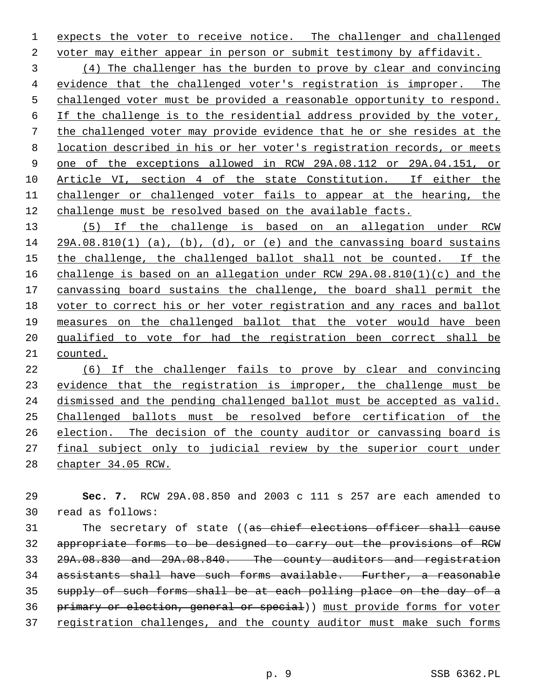1 expects the voter to receive notice. The challenger and challenged

voter may either appear in person or submit testimony by affidavit.

 (4) The challenger has the burden to prove by clear and convincing evidence that the challenged voter's registration is improper. The challenged voter must be provided a reasonable opportunity to respond. If the challenge is to the residential address provided by the voter, the challenged voter may provide evidence that he or she resides at the location described in his or her voter's registration records, or meets one of the exceptions allowed in RCW 29A.08.112 or 29A.04.151, or Article VI, section 4 of the state Constitution. If either the 11 challenger or challenged voter fails to appear at the hearing, the challenge must be resolved based on the available facts.

 (5) If the challenge is based on an allegation under RCW 29A.08.810(1) (a), (b), (d), or (e) and the canvassing board sustains the challenge, the challenged ballot shall not be counted. If the challenge is based on an allegation under RCW 29A.08.810(1)(c) and the canvassing board sustains the challenge, the board shall permit the voter to correct his or her voter registration and any races and ballot measures on the challenged ballot that the voter would have been qualified to vote for had the registration been correct shall be counted.

 (6) If the challenger fails to prove by clear and convincing 23 evidence that the registration is improper, the challenge must be dismissed and the pending challenged ballot must be accepted as valid. Challenged ballots must be resolved before certification of the election. The decision of the county auditor or canvassing board is final subject only to judicial review by the superior court under chapter 34.05 RCW.

 **Sec. 7.** RCW 29A.08.850 and 2003 c 111 s 257 are each amended to read as follows:

31 The secretary of state ((as chief elections officer shall cause appropriate forms to be designed to carry out the provisions of RCW 29A.08.830 and 29A.08.840. The county auditors and registration assistants shall have such forms available. Further, a reasonable supply of such forms shall be at each polling place on the day of a primary or election, general or special)) must provide forms for voter registration challenges, and the county auditor must make such forms